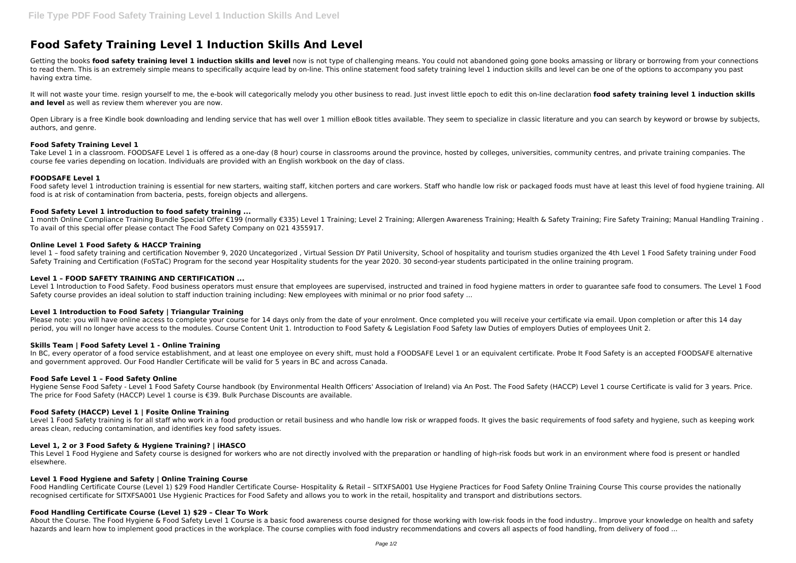# **Food Safety Training Level 1 Induction Skills And Level**

Getting the books food safety training level 1 induction skills and level now is not type of challenging means. You could not abandoned going gone books amassing or library or borrowing from your connections to read them. This is an extremely simple means to specifically acquire lead by on-line. This online statement food safety training level 1 induction skills and level can be one of the options to accompany you past having extra time.

It will not waste your time, resign yourself to me, the e-book will categorically melody you other business to read. Just invest little epoch to edit this on-line declaration food safety training level 1 induction skills **and level** as well as review them wherever you are now.

Open Library is a free Kindle book downloading and lending service that has well over 1 million eBook titles available. They seem to specialize in classic literature and you can search by keyword or browse by subjects, authors, and genre.

Food safety level 1 introduction training is essential for new starters, waiting staff, kitchen porters and care workers. Staff who handle low risk or packaged foods must have at least this level of food hygiene training. food is at risk of contamination from bacteria, pests, foreign objects and allergens.

## **Food Safety Training Level 1**

Take Level 1 in a classroom. FOODSAFE Level 1 is offered as a one-day (8 hour) course in classrooms around the province, hosted by colleges, universities, community centres, and private training companies. The course fee varies depending on location. Individuals are provided with an English workbook on the day of class.

## **FOODSAFE Level 1**

Level 1 Introduction to Food Safety. Food business operators must ensure that employees are supervised, instructed and trained in food hygiene matters in order to guarantee safe food to consumers. The Level 1 Food Safety course provides an ideal solution to staff induction training including: New employees with minimal or no prior food safety ...

Please note: you will have online access to complete your course for 14 days only from the date of your enrolment. Once completed you will receive your certificate yia email. Upon completion or after this 14 day period, you will no longer have access to the modules. Course Content Unit 1. Introduction to Food Safety & Legislation Food Safety law Duties of employers Duties of employees Unit 2.

## **Food Safety Level 1 introduction to food safety training ...**

In BC, every operator of a food service establishment, and at least one employee on every shift, must hold a FOODSAFE Level 1 or an equivalent certificate. Probe It Food Safety is an accepted FOODSAFE alternative and government approved. Our Food Handler Certificate will be valid for 5 years in BC and across Canada.

1 month Online Compliance Training Bundle Special Offer €199 (normally €335) Level 1 Training; Level 2 Training; Allergen Awareness Training; Health & Safety Training; Fire Safety Training; Manual Handling Training . To avail of this special offer please contact The Food Safety Company on 021 4355917.

## **Online Level 1 Food Safety & HACCP Training**

Level 1 Food Safety training is for all staff who work in a food production or retail business and who handle low risk or wrapped foods. It gives the basic requirements of food safety and hygiene, such as keeping work areas clean, reducing contamination, and identifies key food safety issues.

level 1 – food safety training and certification November 9, 2020 Uncategorized , Virtual Session DY Patil University, School of hospitality and tourism studies organized the 4th Level 1 Food Safety training under Food Safety Training and Certification (FoSTaC) Program for the second year Hospitality students for the year 2020. 30 second-year students participated in the online training program.

## **Level 1 – FOOD SAFETY TRAINING AND CERTIFICATION ...**

Food Handling Certificate Course (Level 1) \$29 Food Handler Certificate Course- Hospitality & Retail - SITXFSA001 Use Hygiene Practices for Food Safety Online Training Course This course provides the nationally recognised certificate for SITXFSA001 Use Hygienic Practices for Food Safety and allows you to work in the retail, hospitality and transport and distributions sectors.

# **Level 1 Introduction to Food Safety | Triangular Training**

# **Skills Team | Food Safety Level 1 - Online Training**

#### **Food Safe Level 1 – Food Safety Online**

Hygiene Sense Food Safety - Level 1 Food Safety Course handbook (by Environmental Health Officers' Association of Ireland) via An Post. The Food Safety (HACCP) Level 1 course Certificate is valid for 3 years. Price. The price for Food Safety (HACCP) Level 1 course is €39. Bulk Purchase Discounts are available.

# **Food Safety (HACCP) Level 1 | Fosite Online Training**

#### **Level 1, 2 or 3 Food Safety & Hygiene Training? | iHASCO**

This Level 1 Food Hygiene and Safety course is designed for workers who are not directly involved with the preparation or handling of high-risk foods but work in an environment where food is present or handled elsewhere.

#### **Level 1 Food Hygiene and Safety | Online Training Course**

# **Food Handling Certificate Course (Level 1) \$29 – Clear To Work**

About the Course. The Food Hygiene & Food Safety Level 1 Course is a basic food awareness course designed for those working with low-risk foods in the food industry.. Improve your knowledge on health and safety hazards and learn how to implement good practices in the workplace. The course complies with food industry recommendations and covers all aspects of food handling, from delivery of food ...